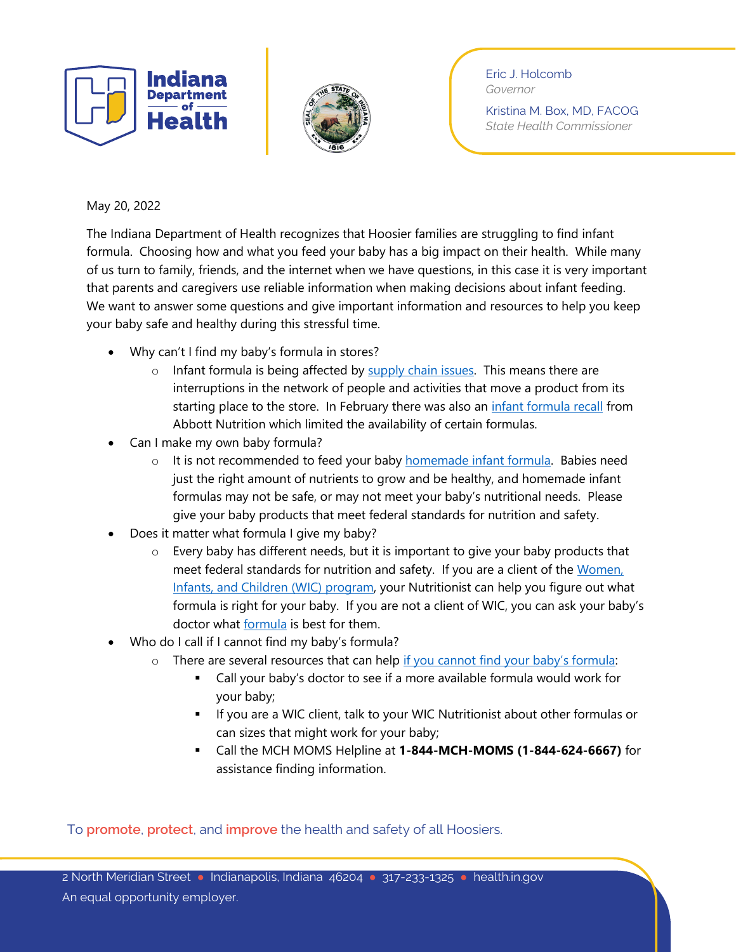



Eric J. Holcomb *Governor*

Kristina M. Box, MD, FACOG *State Health Commissioner*

## May 20, 2022

The Indiana Department of Health recognizes that Hoosier families are struggling to find infant formula. Choosing how and what you feed your baby has a big impact on their health. While many of us turn to family, friends, and the internet when we have questions, in this case it is very important that parents and caregivers use reliable information when making decisions about infant feeding. We want to answer some questions and give important information and resources to help you keep your baby safe and healthy during this stressful time.

- Why can't I find my baby's formula in stores?
	- Infant formula is being affected by [supply chain issues.](https://www.fda.gov/news-events/press-announcements/fda-takes-important-steps-improve-supply-infant-and-specialty-formula-products) This means there are interruptions in the network of people and activities that move a product from its starting place to the store. In February there was also an *[infant formula recall](https://www.abbott.com/corpnewsroom/nutrition-health-and-wellness/abbott-update-on-powder-formula-recall.html)* from Abbott Nutrition which limited the availability of certain formulas.
- Can I make my own baby formula?
	- $\circ$  It is not recommended to feed your baby [homemade infant formula](https://www.healthychildren.org/English/ages-stages/baby/formula-feeding/Pages/Is-Homemade-Baby-Formula-Safe.aspx?_ga=2.11381942.388699347.1652897944-1487146517.1652897943&_gl=1*dtouem*_ga*MTQ4NzE0NjUxNy4xNjUyODk3OTQz*_ga_FD9D3XZVQQ*MTY1Mjg5Nzk0Mi4xLjEuMTY1Mjg5Nzk5OS4w). Babies need just the right amount of nutrients to grow and be healthy, and homemade infant formulas may not be safe, or may not meet your baby's nutritional needs. Please give your baby products that meet federal standards for nutrition and safety.
- Does it matter what formula I give my baby?
	- $\circ$  Every baby has different needs, but it is important to give your baby products that meet federal standards for nutrition and safety. If you are a client of the [Women](https://www.in.gov/health/wic/), [Infants, and Children \(WIC\) program](https://www.in.gov/health/wic/), your Nutritionist can help you figure out what formula is right for your baby. If you are not a client of WIC, you can ask your baby's doctor what [formula](https://www.healthychildren.org/English/ages-stages/baby/formula-feeding/Pages/Choosing-an-Infant-Formula.aspx?_gl=1*16vnxl*_ga*MTQ4NzE0NjUxNy4xNjUyODk3OTQz*_ga_FD9D3XZVQQ*MTY1Mjg5Nzk0Mi4xLjEuMTY1Mjg5ODQ5MS4w&_ga=2.15641524.388699347.1652897944-1487146517.1652897943) is best for them.
- Who do I call if I cannot find my baby's formula?
	- $\circ$  There are several resources that can help [if you cannot find your baby's formula](https://healthychildren.org/English/tips-tools/ask-the-pediatrician/Pages/are-there-shortages-of-infant-formula-due-to-COVID-19.aspx):
		- Call your baby's doctor to see if a more available formula would work for your baby;
		- If you are a WIC client, talk to your WIC Nutritionist about other formulas or can sizes that might work for your baby;
		- Call the MCH MOMS Helpline at **1-844-MCH-MOMS (1-844-624-6667)** for assistance finding information.

To **promote**, **protect**, and **improve** the health and safety of all Hoosiers.